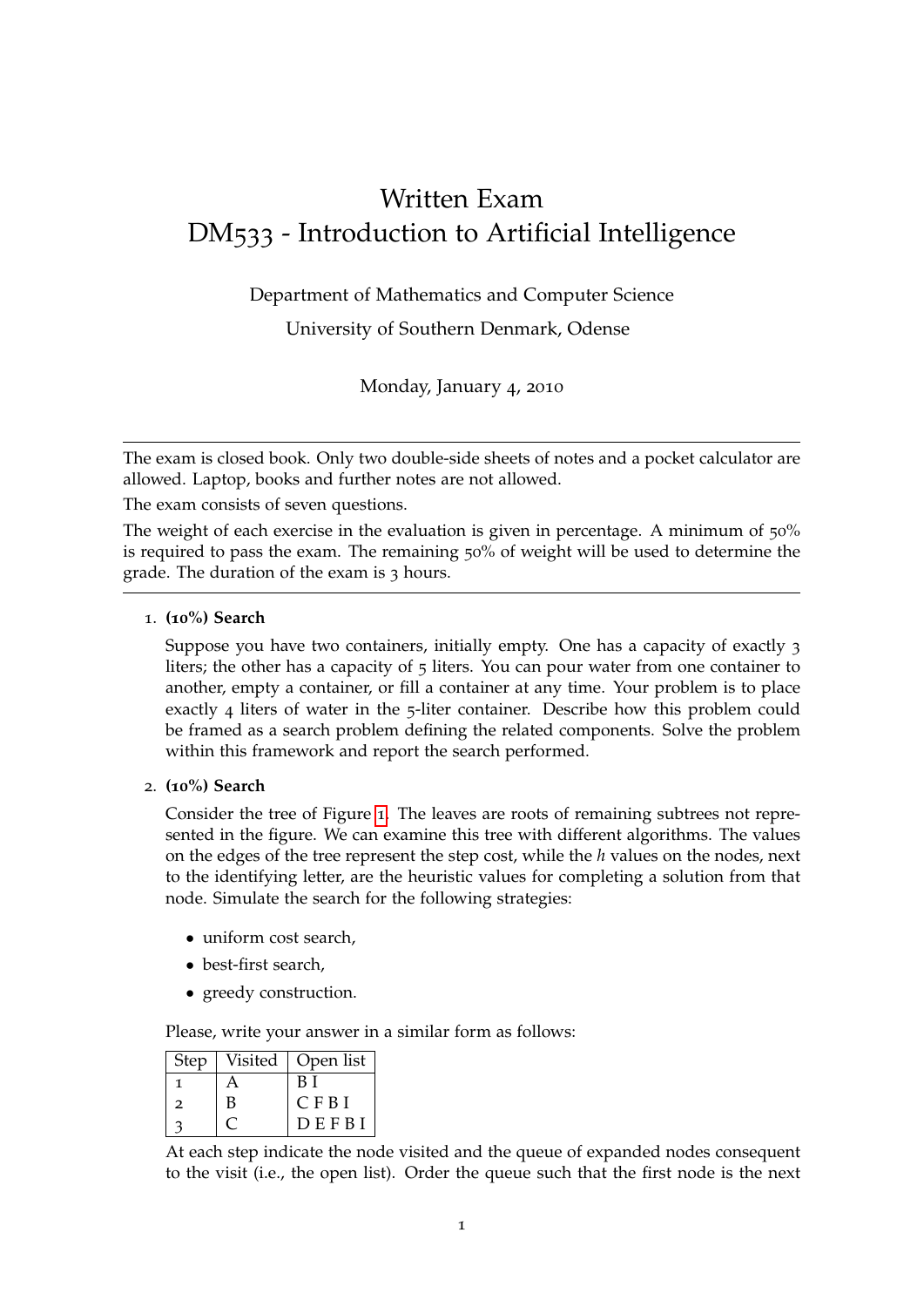# Written Exam DM533 - Introduction to Artificial Intelligence

Department of Mathematics and Computer Science

University of Southern Denmark, Odense

Monday, January 4, 2010

The exam is closed book. Only two double-side sheets of notes and a pocket calculator are allowed. Laptop, books and further notes are not allowed.

The exam consists of seven questions.

The weight of each exercise in the evaluation is given in percentage. A minimum of 50% is required to pass the exam. The remaining 50% of weight will be used to determine the grade. The duration of the exam is 3 hours.

1. **(10%) Search**

Suppose you have two containers, initially empty. One has a capacity of exactly 3 liters; the other has a capacity of 5 liters. You can pour water from one container to another, empty a container, or fill a container at any time. Your problem is to place exactly 4 liters of water in the 5-liter container. Describe how this problem could be framed as a search problem defining the related components. Solve the problem within this framework and report the search performed.

2. **(10%) Search**

Consider the tree of Figure [1](#page-1-0). The leaves are roots of remaining subtrees not represented in the figure. We can examine this tree with different algorithms. The values on the edges of the tree represent the step cost, while the *h* values on the nodes, next to the identifying letter, are the heuristic values for completing a solution from that node. Simulate the search for the following strategies:

- uniform cost search,
- best-first search,
- greedy construction.

Please, write your answer in a similar form as follows:

| <b>Step</b>    | Visited | Open list   |
|----------------|---------|-------------|
|                | А       | B I         |
| $\overline{2}$ | В       | <b>CFBI</b> |
|                |         | DEFBI       |

At each step indicate the node visited and the queue of expanded nodes consequent to the visit (i.e., the open list). Order the queue such that the first node is the next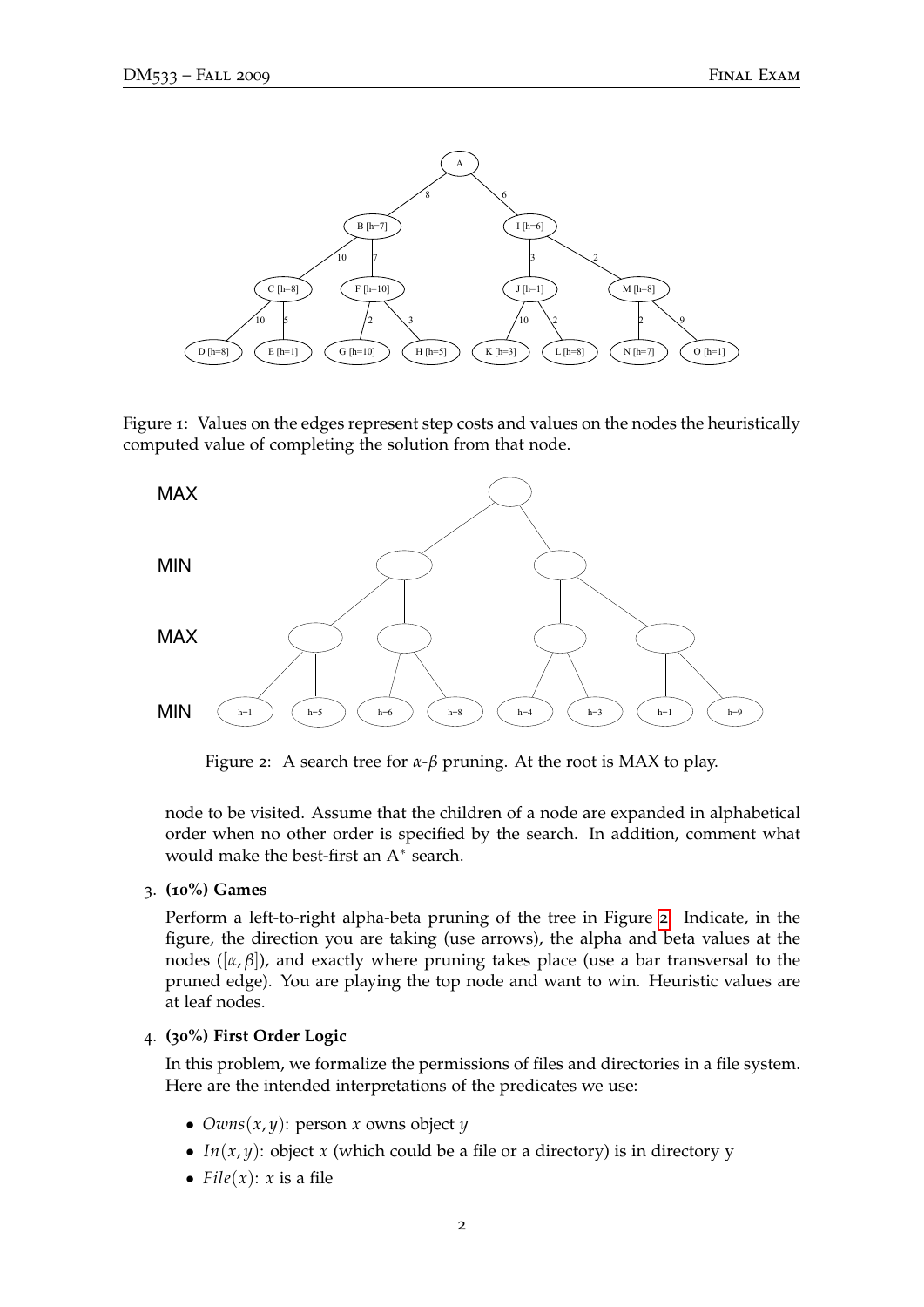

<span id="page-1-0"></span>Figure 1: Values on the edges represent step costs and values on the nodes the heuristically computed value of completing the solution from that node.



<span id="page-1-1"></span>Figure 2: A search tree for *α*-*β* pruning. At the root is MAX to play.

node to be visited. Assume that the children of a node are expanded in alphabetical order when no other order is specified by the search. In addition, comment what would make the best-first an  $A^*$  search.

3. **(10%) Games**

Perform a left-to-right alpha-beta pruning of the tree in Figure [2](#page-1-1). Indicate, in the figure, the direction you are taking (use arrows), the alpha and beta values at the nodes ( $[\alpha, \beta]$ ), and exactly where pruning takes place (use a bar transversal to the pruned edge). You are playing the top node and want to win. Heuristic values are at leaf nodes.

### 4. **(30%) First Order Logic**

In this problem, we formalize the permissions of files and directories in a file system. Here are the intended interpretations of the predicates we use:

- $Owns(x, y)$ : person *x* owns object *y*
- *In*(*x*, *y*): object *x* (which could be a file or a directory) is in directory y
- $File(x): x$  is a file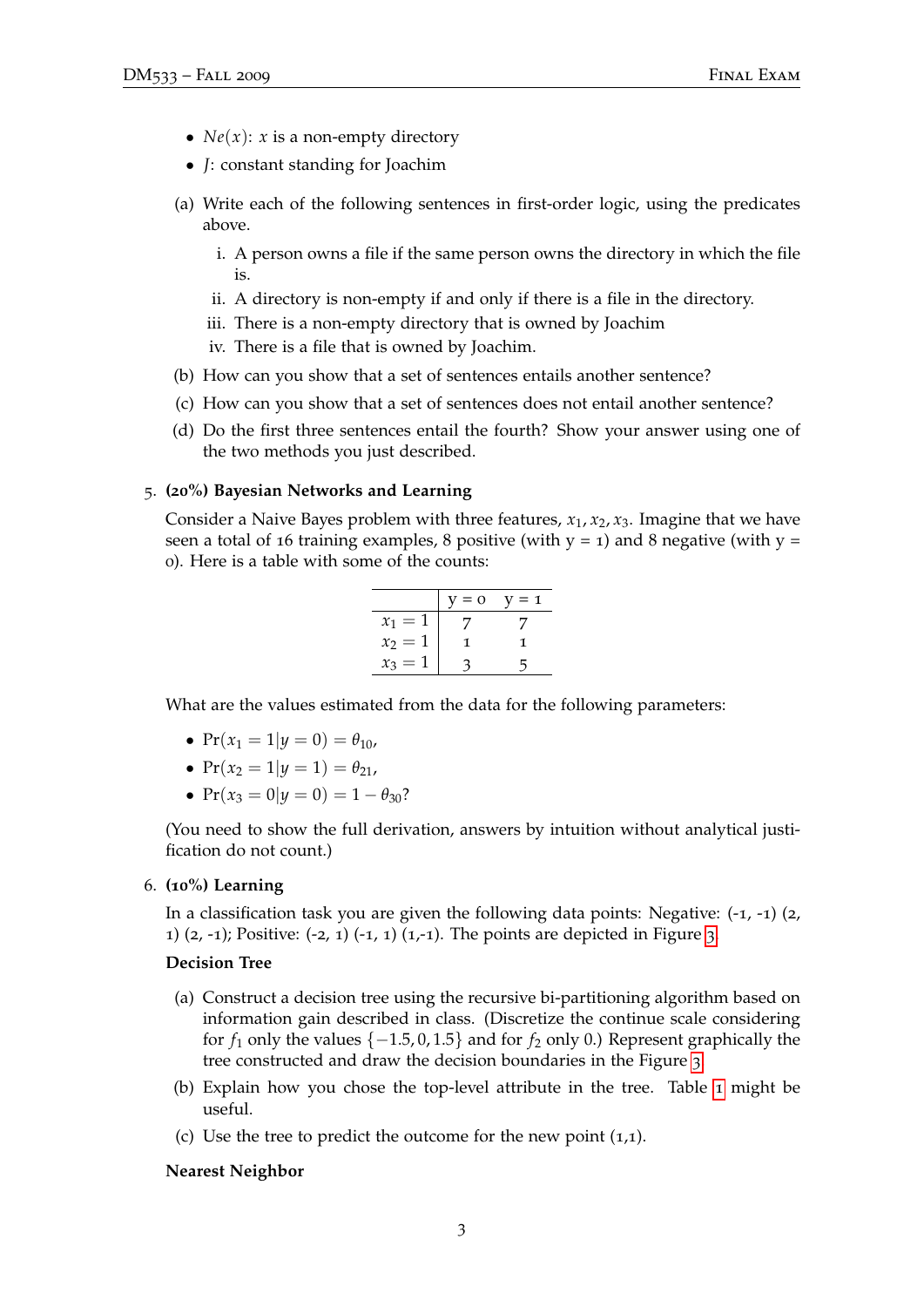- $Ne(x)$ : *x* is a non-empty directory
- *J*: constant standing for Joachim
- (a) Write each of the following sentences in first-order logic, using the predicates above.
	- i. A person owns a file if the same person owns the directory in which the file is.
	- ii. A directory is non-empty if and only if there is a file in the directory.
	- iii. There is a non-empty directory that is owned by Joachim
	- iv. There is a file that is owned by Joachim.
- (b) How can you show that a set of sentences entails another sentence?
- (c) How can you show that a set of sentences does not entail another sentence?
- (d) Do the first three sentences entail the fourth? Show your answer using one of the two methods you just described.

## 5. **(20%) Bayesian Networks and Learning**

Consider a Naive Bayes problem with three features,  $x_1, x_2, x_3$ . Imagine that we have seen a total of 16 training examples, 8 positive (with  $y = 1$ ) and 8 negative (with  $y = 1$ ) 0). Here is a table with some of the counts:

|           | $7 = 0$ | $V = 1$ |
|-----------|---------|---------|
| $x_1 =$   |         |         |
| $x_2 = 1$ |         |         |
| $x_3 =$   |         |         |

What are the values estimated from the data for the following parameters:

- $Pr(x_1 = 1 | y = 0) = \theta_{10}$
- $Pr(x_2 = 1 | y = 1) = \theta_{21}$
- $Pr(x_3 = 0 | y = 0) = 1 \theta_{30}$ ?

(You need to show the full derivation, answers by intuition without analytical justification do not count.)

6. **(10%) Learning**

In a classification task you are given the following data points: Negative:  $(-1, -1)$  (2, 1)  $(2, -1)$ ; Positive:  $(-2, 1)$   $(-1, 1)$   $(1, -1)$ . The points are depicted in Figure [3](#page-3-0).

## **Decision Tree**

- (a) Construct a decision tree using the recursive bi-partitioning algorithm based on information gain described in class. (Discretize the continue scale considering for  $f_1$  only the values  $\{-1.5, 0, 1.5\}$  and for  $f_2$  only 0.) Represent graphically the tree constructed and draw the decision boundaries in the Figure [3](#page-3-0).
- (b) Explain how you chose the top-level attribute in the tree. Table [1](#page-3-1) might be useful.
- (c) Use the tree to predict the outcome for the new point  $(1,1)$ .

## **Nearest Neighbor**